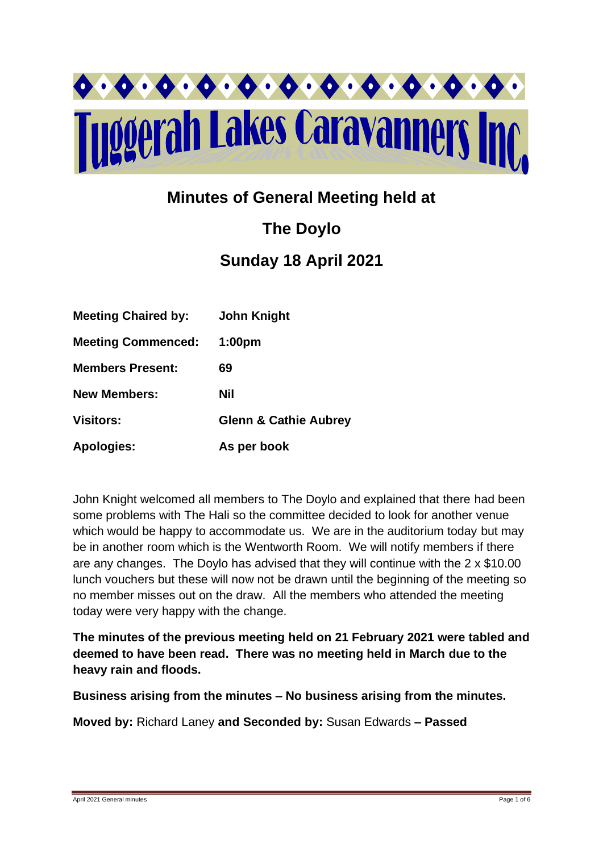

# **Minutes of General Meeting held at**

# **The Doylo Sunday 18 April 2021**

| <b>Meeting Chaired by:</b> | <b>John Knight</b>               |
|----------------------------|----------------------------------|
| <b>Meeting Commenced:</b>  | 1:00 <sub>pm</sub>               |
| <b>Members Present:</b>    | 69                               |
| <b>New Members:</b>        | Nil                              |
| <b>Visitors:</b>           | <b>Glenn &amp; Cathie Aubrey</b> |
| <b>Apologies:</b>          | As per book                      |

John Knight welcomed all members to The Doylo and explained that there had been some problems with The Hali so the committee decided to look for another venue which would be happy to accommodate us. We are in the auditorium today but may be in another room which is the Wentworth Room. We will notify members if there are any changes. The Doylo has advised that they will continue with the 2 x \$10.00 lunch vouchers but these will now not be drawn until the beginning of the meeting so no member misses out on the draw. All the members who attended the meeting today were very happy with the change.

**The minutes of the previous meeting held on 21 February 2021 were tabled and deemed to have been read. There was no meeting held in March due to the heavy rain and floods.**

**Business arising from the minutes – No business arising from the minutes.**

**Moved by:** Richard Laney **and Seconded by:** Susan Edwards **– Passed**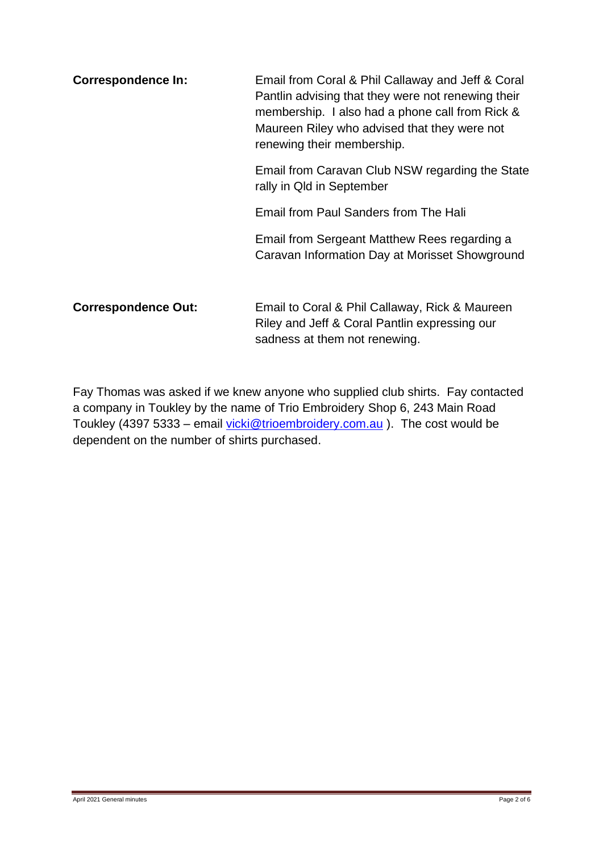| <b>Correspondence In:</b>  | Email from Coral & Phil Callaway and Jeff & Coral<br>Pantlin advising that they were not renewing their<br>membership. I also had a phone call from Rick &<br>Maureen Riley who advised that they were not<br>renewing their membership. |  |  |
|----------------------------|------------------------------------------------------------------------------------------------------------------------------------------------------------------------------------------------------------------------------------------|--|--|
|                            | Email from Caravan Club NSW regarding the State<br>rally in Qld in September                                                                                                                                                             |  |  |
|                            | Email from Paul Sanders from The Hali                                                                                                                                                                                                    |  |  |
|                            | Email from Sergeant Matthew Rees regarding a<br>Caravan Information Day at Morisset Showground                                                                                                                                           |  |  |
| <b>Correspondence Out:</b> | Email to Coral & Phil Callaway, Rick & Maureen<br>Riley and Jeff & Coral Pantlin expressing our                                                                                                                                          |  |  |

Fay Thomas was asked if we knew anyone who supplied club shirts. Fay contacted a company in Toukley by the name of Trio Embroidery Shop 6, 243 Main Road Toukley (4397 5333 – email [vicki@trioembroidery.com.au](mailto:vicki@trioembroidery.com.au) ). The cost would be dependent on the number of shirts purchased.

sadness at them not renewing.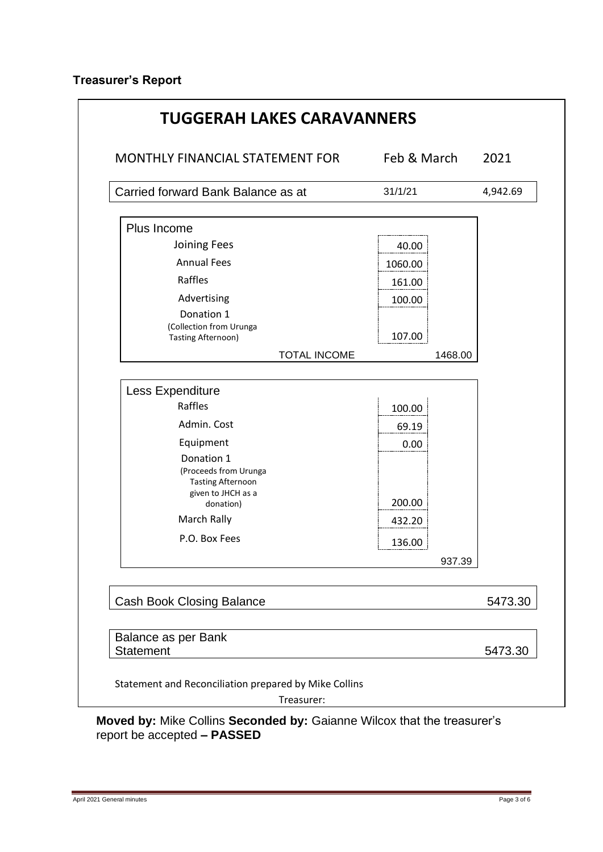| MONTHLY FINANCIAL STATEMENT FOR                      | Feb & March |         | 2021     |
|------------------------------------------------------|-------------|---------|----------|
| Carried forward Bank Balance as at                   | 31/1/21     |         | 4,942.69 |
| Plus Income                                          |             |         |          |
| Joining Fees                                         | 40.00       |         |          |
| <b>Annual Fees</b>                                   | 1060.00     |         |          |
| Raffles                                              | 161.00      |         |          |
| Advertising                                          | 100.00      |         |          |
| Donation 1                                           |             |         |          |
| (Collection from Urunga<br><b>Tasting Afternoon)</b> | 107.00      |         |          |
| <b>TOTAL INCOME</b>                                  |             | 1468.00 |          |
|                                                      |             |         |          |
| Less Expenditure                                     |             |         |          |
| Raffles                                              | 100.00      |         |          |
| Admin. Cost                                          | 69.19       |         |          |
| Equipment                                            | 0.00        |         |          |
| Donation 1                                           |             |         |          |
| (Proceeds from Urunga<br><b>Tasting Afternoon</b>    |             |         |          |
| given to JHCH as a                                   |             |         |          |
| donation)<br>March Rally                             | 200.00      |         |          |
|                                                      | 432.20      |         |          |
| P.O. Box Fees                                        | 136.00      |         |          |
|                                                      |             | 937.39  |          |
|                                                      |             |         | 5473.30  |
| <b>Cash Book Closing Balance</b>                     |             |         |          |
| Balance as per Bank                                  |             |         |          |
| <b>Statement</b>                                     |             |         | 5473.30  |

**Moved by:** Mike Collins **Seconded by:** Gaianne Wilcox that the treasurer's report be accepted **– PASSED**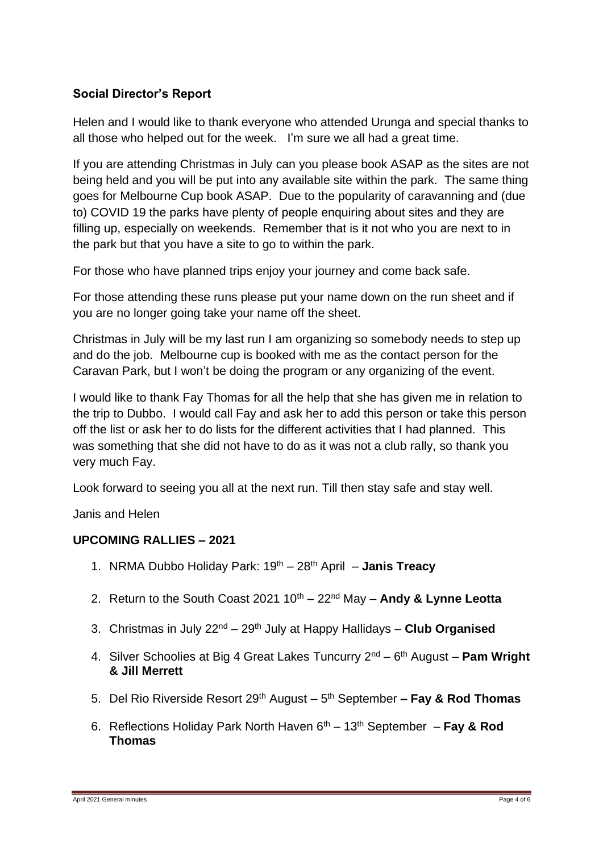# **Social Director's Report**

Helen and I would like to thank everyone who attended Urunga and special thanks to all those who helped out for the week. I'm sure we all had a great time.

If you are attending Christmas in July can you please book ASAP as the sites are not being held and you will be put into any available site within the park. The same thing goes for Melbourne Cup book ASAP. Due to the popularity of caravanning and (due to) COVID 19 the parks have plenty of people enquiring about sites and they are filling up, especially on weekends. Remember that is it not who you are next to in the park but that you have a site to go to within the park.

For those who have planned trips enjoy your journey and come back safe.

For those attending these runs please put your name down on the run sheet and if you are no longer going take your name off the sheet.

Christmas in July will be my last run I am organizing so somebody needs to step up and do the job. Melbourne cup is booked with me as the contact person for the Caravan Park, but I won't be doing the program or any organizing of the event.

I would like to thank Fay Thomas for all the help that she has given me in relation to the trip to Dubbo. I would call Fay and ask her to add this person or take this person off the list or ask her to do lists for the different activities that I had planned. This was something that she did not have to do as it was not a club rally, so thank you very much Fay.

Look forward to seeing you all at the next run. Till then stay safe and stay well.

Janis and Helen

#### **UPCOMING RALLIES – 2021**

- 1. NRMA Dubbo Holiday Park: 19th 28th April **Janis Treacy**
- 2. Return to the South Coast 2021 10th 22nd May **Andy & Lynne Leotta**
- 3. Christmas in July 22nd 29th July at Happy Hallidays **Club Organised**
- 4. Silver Schoolies at Big 4 Great Lakes Tuncurry 2nd 6 th August **Pam Wright & Jill Merrett**
- 5. Del Rio Riverside Resort 29th August 5 th September **– Fay & Rod Thomas**
- 6. Reflections Holiday Park North Haven 6th 13th September **Fay & Rod Thomas**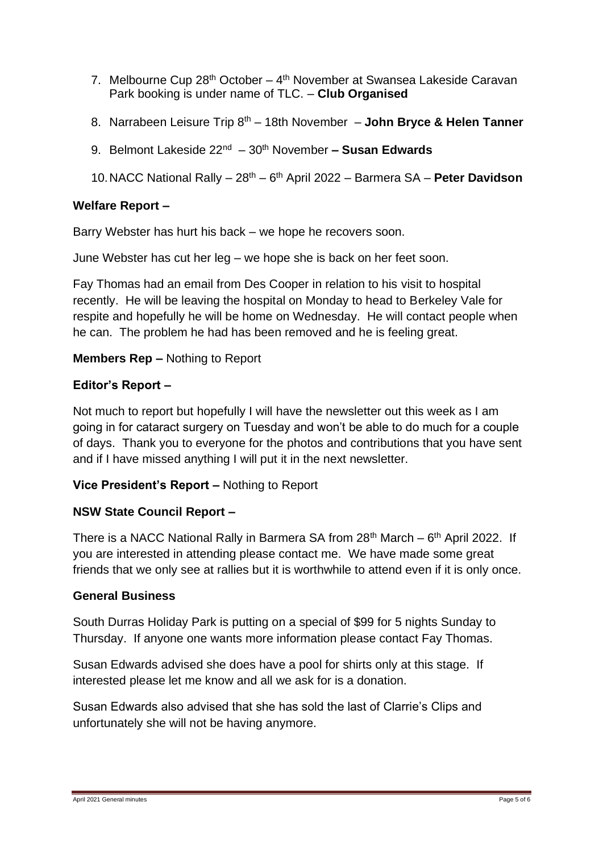- 7. Melbourne Cup 28<sup>th</sup> October 4<sup>th</sup> November at Swansea Lakeside Caravan Park booking is under name of TLC. – **Club Organised**
- 8. Narrabeen Leisure Trip 8<sup>th</sup> 18th November John Bryce & Helen Tanner
- 9. Belmont Lakeside 22nd 30 th November **– Susan Edwards**
- 10.NACC National Rally 28th 6 th April 2022 Barmera SA **Peter Davidson**

## **Welfare Report –**

Barry Webster has hurt his back – we hope he recovers soon.

June Webster has cut her leg – we hope she is back on her feet soon.

Fay Thomas had an email from Des Cooper in relation to his visit to hospital recently. He will be leaving the hospital on Monday to head to Berkeley Vale for respite and hopefully he will be home on Wednesday. He will contact people when he can. The problem he had has been removed and he is feeling great.

#### **Members Rep –** Nothing to Report

#### **Editor's Report –**

Not much to report but hopefully I will have the newsletter out this week as I am going in for cataract surgery on Tuesday and won't be able to do much for a couple of days. Thank you to everyone for the photos and contributions that you have sent and if I have missed anything I will put it in the next newsletter.

# **Vice President's Report –** Nothing to Report

#### **NSW State Council Report –**

There is a NACC National Rally in Barmera SA from 28<sup>th</sup> March – 6<sup>th</sup> April 2022. If you are interested in attending please contact me. We have made some great friends that we only see at rallies but it is worthwhile to attend even if it is only once.

#### **General Business**

South Durras Holiday Park is putting on a special of \$99 for 5 nights Sunday to Thursday. If anyone one wants more information please contact Fay Thomas.

Susan Edwards advised she does have a pool for shirts only at this stage. If interested please let me know and all we ask for is a donation.

Susan Edwards also advised that she has sold the last of Clarrie's Clips and unfortunately she will not be having anymore.